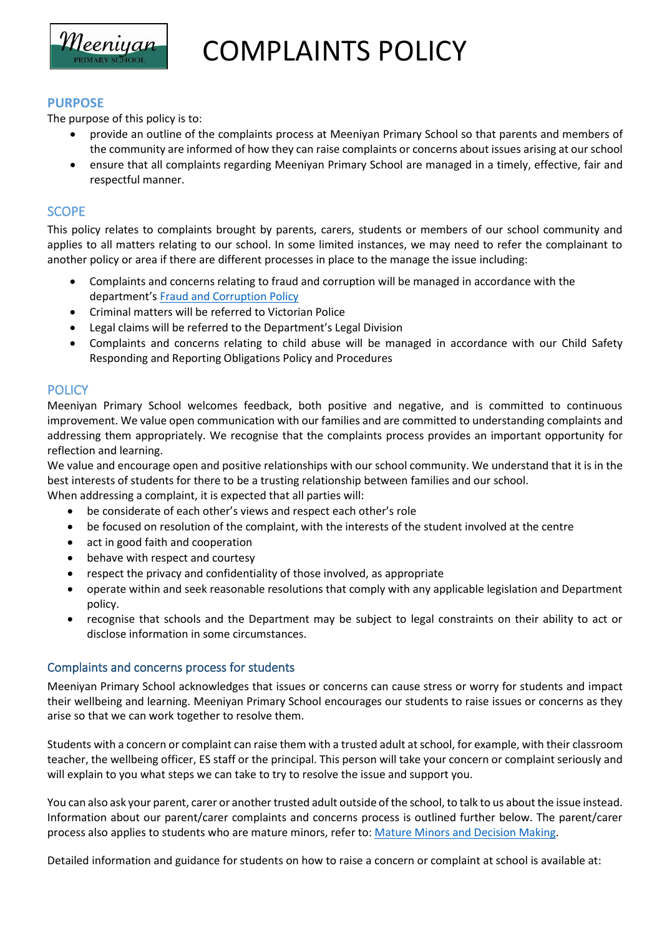

COMPLAINTS POLICY

### **PURPOSE**

The purpose of this policy is to:

- provide an outline of the complaints process at Meeniyan Primary School so that parents and members of the community are informed of how they can raise complaints or concerns about issues arising at our school
- ensure that all complaints regarding Meeniyan Primary School are managed in a timely, effective, fair and respectful manner.

### **SCOPE**

This policy relates to complaints brought by parents, carers, students or members of our school community and applies to all matters relating to our school. In some limited instances, we may need to refer the complainant to another policy or area if there are different processes in place to the manage the issue including:

- Complaints and concerns relating to fraud and corruption will be managed in accordance with the department's [Fraud and Corruption Policy](https://www2.education.vic.gov.au/pal/report-fraud-or-corruption/overview)
- Criminal matters will be referred to Victorian Police
- Legal claims will be referred to the Department's Legal Division
- Complaints and concerns relating to child abuse will be managed in accordance with our Child Safety Responding and Reporting Obligations Policy and Procedures

# **POLICY**

Meeniyan Primary School welcomes feedback, both positive and negative, and is committed to continuous improvement. We value open communication with our families and are committed to understanding complaints and addressing them appropriately. We recognise that the complaints process provides an important opportunity for reflection and learning.

We value and encourage open and positive relationships with our school community. We understand that it is in the best interests of students for there to be a trusting relationship between families and our school.

When addressing a complaint, it is expected that all parties will:

- be considerate of each other's views and respect each other's role
- be focused on resolution of the complaint, with the interests of the student involved at the centre
- act in good faith and cooperation
- behave with respect and courtesy
- respect the privacy and confidentiality of those involved, as appropriate
- operate within and seek reasonable resolutions that comply with any applicable legislation and Department policy.
- recognise that schools and the Department may be subject to legal constraints on their ability to act or disclose information in some circumstances.

#### Complaints and concerns process for students

Meeniyan Primary School acknowledges that issues or concerns can cause stress or worry for students and impact their wellbeing and learning. Meeniyan Primary School encourages our students to raise issues or concerns as they arise so that we can work together to resolve them.

Students with a concern or complaint can raise them with a trusted adult at school, for example, with their classroom teacher, the wellbeing officer, ES staff or the principal. This person will take your concern or complaint seriously and will explain to you what steps we can take to try to resolve the issue and support you.

You can also ask your parent, carer or another trusted adult outside of the school, to talk to us about the issue instead. Information about our parent/carer complaints and concerns process is outlined further below. The parent/carer process also applies to students who are mature minors, refer to: [Mature Minors and Decision Making.](https://www2.education.vic.gov.au/pal/mature-minors-and-decision-making/policy)

Detailed information and guidance for students on how to raise a concern or complaint at school is available at: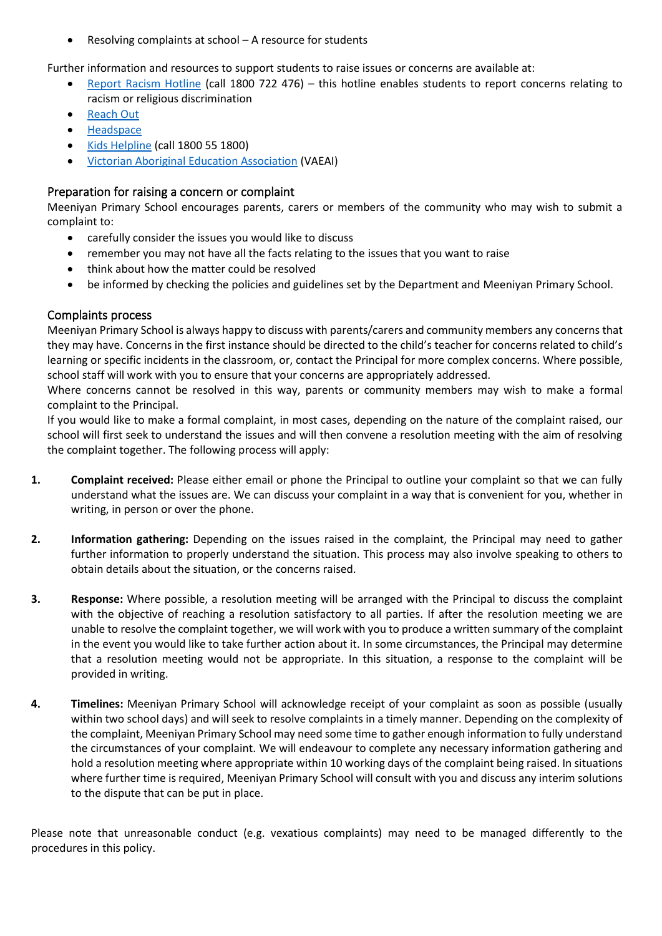• Resolving complaints at school – A resource for students

Further information and resources to support students to raise issues or concerns are available at:

- [Report Racism Hotline](https://www.vic.gov.au/report-racism-or-religious-discrimination-schools) (call 1800 722 476) this hotline enables students to report concerns relating to racism or religious discrimination
- [Reach Out](https://au.reachout.com/?gclid=CjwKCAiAgbiQBhAHEiwAuQ6BktaB5xneGFK3TnOql5c5eZ7af7dDm9ffLZa7N59FEtbtQzVIk8sGWhoC8N0QAvD_BwE)
- [Headspace](https://headspace.org.au/)
- [Kids Helpline](https://kidshelpline.com.au/?gclid=CjwKCAiAgbiQBhAHEiwAuQ6Bkro6UD2EBcRILznFnRhKjfi5I84jJlUa0fyiiYLQ4mHx5sXTStxH8BoCCEIQAvD_BwE) (call 1800 55 1800)
- [Victorian Aboriginal Education Association](https://www.vaeai.org.au/) (VAEAI)

### Preparation for raising a concern or complaint

Meeniyan Primary School encourages parents, carers or members of the community who may wish to submit a complaint to:

- carefully consider the issues you would like to discuss
- remember you may not have all the facts relating to the issues that you want to raise
- think about how the matter could be resolved
- be informed by checking the policies and guidelines set by the Department and Meeniyan Primary School.

# Complaints process

Meeniyan Primary School is always happy to discuss with parents/carers and community members any concerns that they may have. Concerns in the first instance should be directed to the child's teacher for concerns related to child's learning or specific incidents in the classroom, or, contact the Principal for more complex concerns. Where possible, school staff will work with you to ensure that your concerns are appropriately addressed.

Where concerns cannot be resolved in this way, parents or community members may wish to make a formal complaint to the Principal.

If you would like to make a formal complaint, in most cases, depending on the nature of the complaint raised, our school will first seek to understand the issues and will then convene a resolution meeting with the aim of resolving the complaint together. The following process will apply:

- **1. Complaint received:** Please either email or phone the Principal to outline your complaint so that we can fully understand what the issues are. We can discuss your complaint in a way that is convenient for you, whether in writing, in person or over the phone.
- **2. Information gathering:** Depending on the issues raised in the complaint, the Principal may need to gather further information to properly understand the situation. This process may also involve speaking to others to obtain details about the situation, or the concerns raised.
- **3. Response:** Where possible, a resolution meeting will be arranged with the Principal to discuss the complaint with the objective of reaching a resolution satisfactory to all parties. If after the resolution meeting we are unable to resolve the complaint together, we will work with you to produce a written summary of the complaint in the event you would like to take further action about it. In some circumstances, the Principal may determine that a resolution meeting would not be appropriate. In this situation, a response to the complaint will be provided in writing.
- **4. Timelines:** Meeniyan Primary School will acknowledge receipt of your complaint as soon as possible (usually within two school days) and will seek to resolve complaints in a timely manner. Depending on the complexity of the complaint, Meeniyan Primary School may need some time to gather enough information to fully understand the circumstances of your complaint. We will endeavour to complete any necessary information gathering and hold a resolution meeting where appropriate within 10 working days of the complaint being raised. In situations where further time is required, Meeniyan Primary School will consult with you and discuss any interim solutions to the dispute that can be put in place.

Please note that unreasonable conduct (e.g. vexatious complaints) may need to be managed differently to the procedures in this policy.